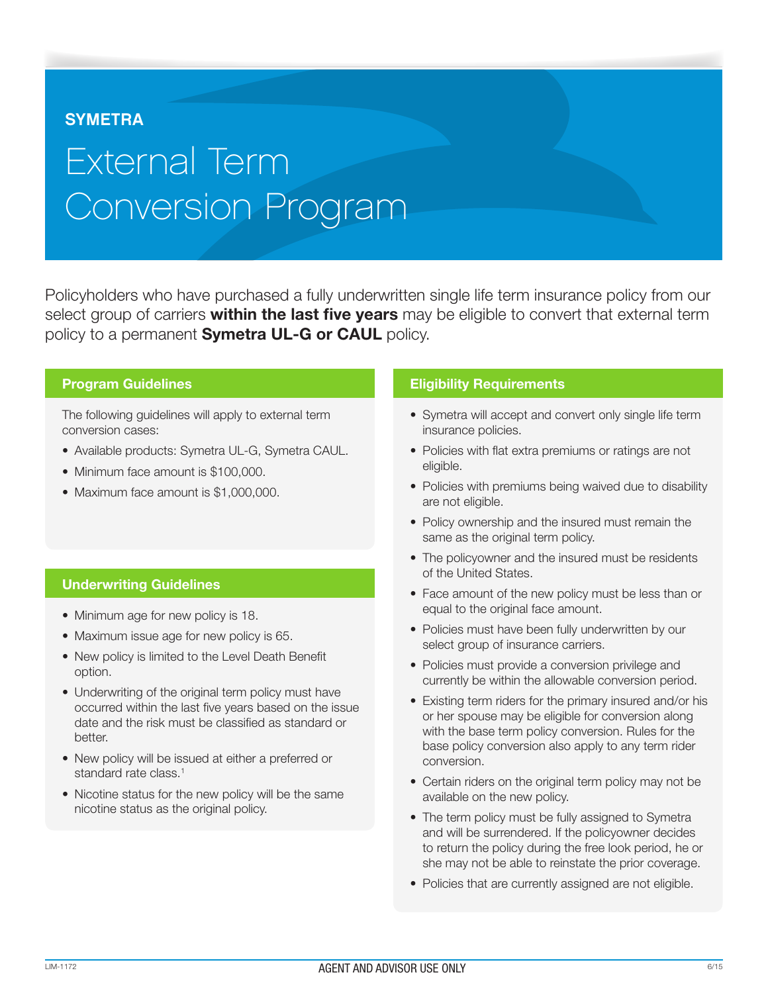# **SYMETRA**

# External Term Conversion Program

Policyholders who have purchased a fully underwritten single life term insurance policy from our select group of carriers within the last five years may be eligible to convert that external term policy to a permanent **Symetra UL-G or CAUL** policy.

#### Program Guidelines

The following guidelines will apply to external term conversion cases:

- Available products: Symetra UL-G, Symetra CAUL.
- Minimum face amount is \$100,000.
- Maximum face amount is \$1,000,000.

## Underwriting Guidelines

- Minimum age for new policy is 18.
- Maximum issue age for new policy is 65.
- New policy is limited to the Level Death Benefit option.
- Underwriting of the original term policy must have occurred within the last five years based on the issue date and the risk must be classified as standard or better.
- New policy will be issued at either a preferred or standard rate class.<sup>1</sup>
- Nicotine status for the new policy will be the same nicotine status as the original policy.

#### Eligibility Requirements

- Symetra will accept and convert only single life term insurance policies.
- Policies with flat extra premiums or ratings are not eligible.
- Policies with premiums being waived due to disability are not eligible.
- Policy ownership and the insured must remain the same as the original term policy.
- The policyowner and the insured must be residents of the United States.
- Face amount of the new policy must be less than or equal to the original face amount.
- Policies must have been fully underwritten by our select group of insurance carriers.
- Policies must provide a conversion privilege and currently be within the allowable conversion period.
- Existing term riders for the primary insured and/or his or her spouse may be eligible for conversion along with the base term policy conversion. Rules for the base policy conversion also apply to any term rider conversion.
- Certain riders on the original term policy may not be available on the new policy.
- The term policy must be fully assigned to Symetra and will be surrendered. If the policyowner decides to return the policy during the free look period, he or she may not be able to reinstate the prior coverage.
- Policies that are currently assigned are not eligible.